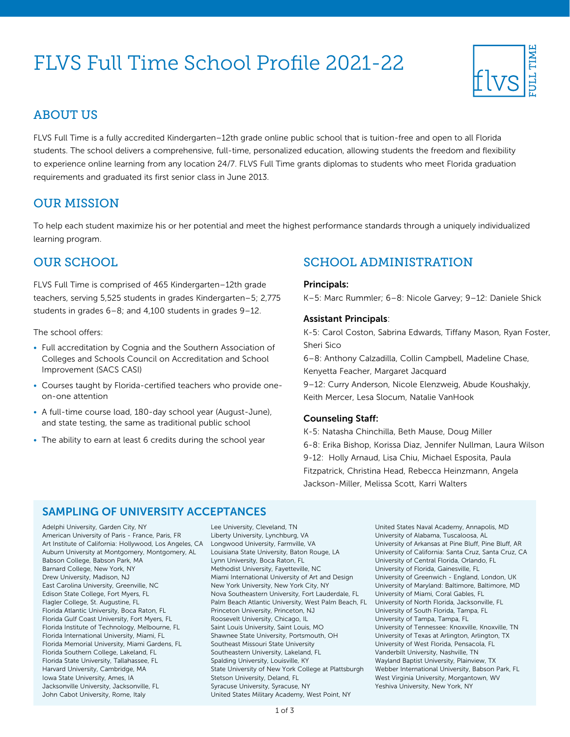# FLVS Full Time School Profile 2021-22



## ABOUT US

FLVS Full Time is a fully accredited Kindergarten–12th grade online public school that is tuition-free and open to all Florida students. The school delivers a comprehensive, full-time, personalized education, allowing students the freedom and flexibility to experience online learning from any location 24/7. FLVS Full Time grants diplomas to students who meet Florida graduation requirements and graduated its first senior class in June 2013.

# OUR MISSION

To help each student maximize his or her potential and meet the highest performance standards through a uniquely individualized learning program.

# OUR SCHOOL

FLVS Full Time is comprised of 465 Kindergarten–12th grade teachers, serving 5,525 students in grades Kindergarten–5; 2,775 students in grades 6–8; and 4,100 students in grades 9–12.

The school offers:

- Full accreditation by Cognia and the Southern Association of Colleges and Schools Council on Accreditation and School Improvement (SACS CASI)
- Courses taught by Florida-certified teachers who provide oneon-one attention
- A full-time course load, 180-day school year (August-June), and state testing, the same as traditional public school
- The ability to earn at least 6 credits during the school year

# SCHOOL ADMINISTRATION

#### Principals:

K–5: Marc Rummler; 6–8: Nicole Garvey; 9–12: Daniele Shick

#### Assistant Principals:

K-5: Carol Coston, Sabrina Edwards, Tiffany Mason, Ryan Foster, Sheri Sico

6–8: Anthony Calzadilla, Collin Campbell, Madeline Chase, Kenyetta Feacher, Margaret Jacquard

9–12: Curry Anderson, Nicole Elenzweig, Abude Koushakjy, Keith Mercer, Lesa Slocum, Natalie VanHook

#### Counseling Staff:

K-5: Natasha Chinchilla, Beth Mause, Doug Miller 6-8: Erika Bishop, Korissa Diaz, Jennifer Nullman, Laura Wilson 9-12: Holly Arnaud, Lisa Chiu, Michael Esposita, Paula Fitzpatrick, Christina Head, Rebecca Heinzmann, Angela Jackson-Miller, Melissa Scott, Karri Walters

### SAMPLING OF UNIVERSITY ACCEPTANCES

Adelphi University, Garden City, NY American University of Paris - France, Paris, FR Art Institute of California: Hollywood, Los Angeles, CA Longwood University, Farmville, VA Auburn University at Montgomery, Montgomery, AL Babson College, Babson Park, MA Barnard College, New York, NY Drew University, Madison, NJ East Carolina University, Greenville, NC Edison State College, Fort Myers, FL Flagler College, St. Augustine, FL Florida Atlantic University, Boca Raton, FL Florida Gulf Coast University, Fort Myers, FL Florida Institute of Technology, Melbourne, FL Florida International University, Miami, FL Florida Memorial University, Miami Gardens, FL Florida Southern College, Lakeland, FL Florida State University, Tallahassee, FL Harvard University, Cambridge, MA Iowa State University, Ames, IA Jacksonville University, Jacksonville, FL John Cabot University, Rome, Italy

Lee University, Cleveland, TN Liberty University, Lynchburg, VA Louisiana State University, Baton Rouge, LA Lynn University, Boca Raton, FL Methodist University, Fayetteville, NC Miami International University of Art and Design New York University, New York City, NY Nova Southeastern University, Fort Lauderdale, FL Palm Beach Atlantic University, West Palm Beach, FL University of North Florida, Jacksonville, FL Princeton University, Princeton, NJ Roosevelt University, Chicago, IL Saint Louis University, Saint Louis, MO Shawnee State University, Portsmouth, OH Southeast Missouri State University Southeastern University, Lakeland, FL Spalding University, Louisville, KY State University of New York College at Plattsburgh Stetson University, Deland, FL Syracuse University, Syracuse, NY United States Military Academy, West Point, NY

United States Naval Academy, Annapolis, MD University of Alabama, Tuscaloosa, AL University of Arkansas at Pine Bluff, Pine Bluff, AR University of California: Santa Cruz, Santa Cruz, CA University of Central Florida, Orlando, FL University of Florida, Gainesville, FL University of Greenwich - England, London, UK University of Maryland: Baltimore, Baltimore, MD University of Miami, Coral Gables, FL University of South Florida, Tampa, FL University of Tampa, Tampa, FL University of Tennessee: Knoxville, Knoxville, TN University of Texas at Arlington, Arlington, TX University of West Florida, Pensacola, FL Vanderbilt University, Nashville, TN Wayland Baptist University, Plainview, TX Webber International University, Babson Park, FL West Virginia University, Morgantown, WV Yeshiva University, New York, NY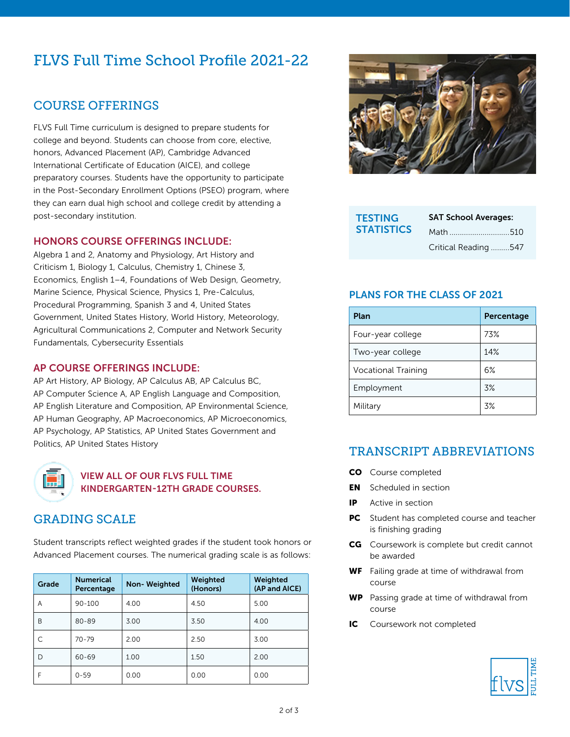# FLVS Full Time School Profile 2021-22

# COURSE OFFERINGS

FLVS Full Time curriculum is designed to prepare students for college and beyond. Students can choose from core, elective, honors, Advanced Placement (AP), Cambridge Advanced International Certificate of Education (AICE), and college preparatory courses. Students have the opportunity to participate in the Post-Secondary Enrollment Options (PSEO) program, where they can earn dual high school and college credit by attending a post-secondary institution.

#### HONORS COURSE OFFERINGS INCLUDE:

Algebra 1 and 2, Anatomy and Physiology, Art History and Criticism 1, Biology 1, Calculus, Chemistry 1, Chinese 3, Economics, English 1–4, Foundations of Web Design, Geometry, Marine Science, Physical Science, Physics 1, Pre-Calculus, Procedural Programming, Spanish 3 and 4, United States Government, United States History, World History, Meteorology, Agricultural Communications 2, Computer and Network Security Fundamentals, Cybersecurity Essentials

#### AP COURSE OFFERINGS INCLUDE:

AP Art History, AP Biology, AP Calculus AB, AP Calculus BC, AP Computer Science A, AP English Language and Composition, AP English Literature and Composition, AP Environmental Science, AP Human Geography, AP Macroeconomics, AP Microeconomics, AP Psychology, AP Statistics, AP United States Government and Politics, AP United States History



#### VIEW ALL OF OUR FLVS FULL TIME [KINDERGARTEN-12TH GRADE COURSES.](https://www.flvs.net/full-time/courses)

# GRADING SCALE

Student transcripts reflect weighted grades if the student took honors or Advanced Placement courses. The numerical grading scale is as follows:

| Grade | <b>Numerical</b><br>Percentage | <b>Non-Weighted</b> | Weighted<br>(Honors) | Weighted<br>(AP and AICE) |
|-------|--------------------------------|---------------------|----------------------|---------------------------|
| A     | $90 - 100$                     | 4.00                | 4.50                 | 5.00                      |
| B     | $80 - 89$                      | 3.00                | 3.50                 | 4.00                      |
| C     | $70 - 79$                      | 2.00                | 2.50                 | 3.00                      |
| D     | $60 - 69$                      | 1.00                | 1.50                 | 2.00                      |
| F     | $0 - 59$                       | 0.00                | 0.00                 | 0.00                      |



| <b>TESTING</b>    | <b>SAT School Averages:</b> |  |
|-------------------|-----------------------------|--|
| <b>STATISTICS</b> | Math 510                    |  |
|                   | Critical Reading 547        |  |

#### PLANS FOR THE CLASS OF 2021

| Plan                       | Percentage |
|----------------------------|------------|
| Four-year college          | 73%        |
| Two-year college           | 14%        |
| <b>Vocational Training</b> | 6%         |
| Employment                 | 3%         |
| Military                   | .3%        |

# TRANSCRIPT ABBREVIATIONS

- CO Course completed
- **EN** Scheduled in section
- IP Active in section
- **PC** Student has completed course and teacher is finishing grading
- **CG** Coursework is complete but credit cannot be awarded
- WF Failing grade at time of withdrawal from course
- WP Passing grade at time of withdrawal from course
- IC Coursework not completed